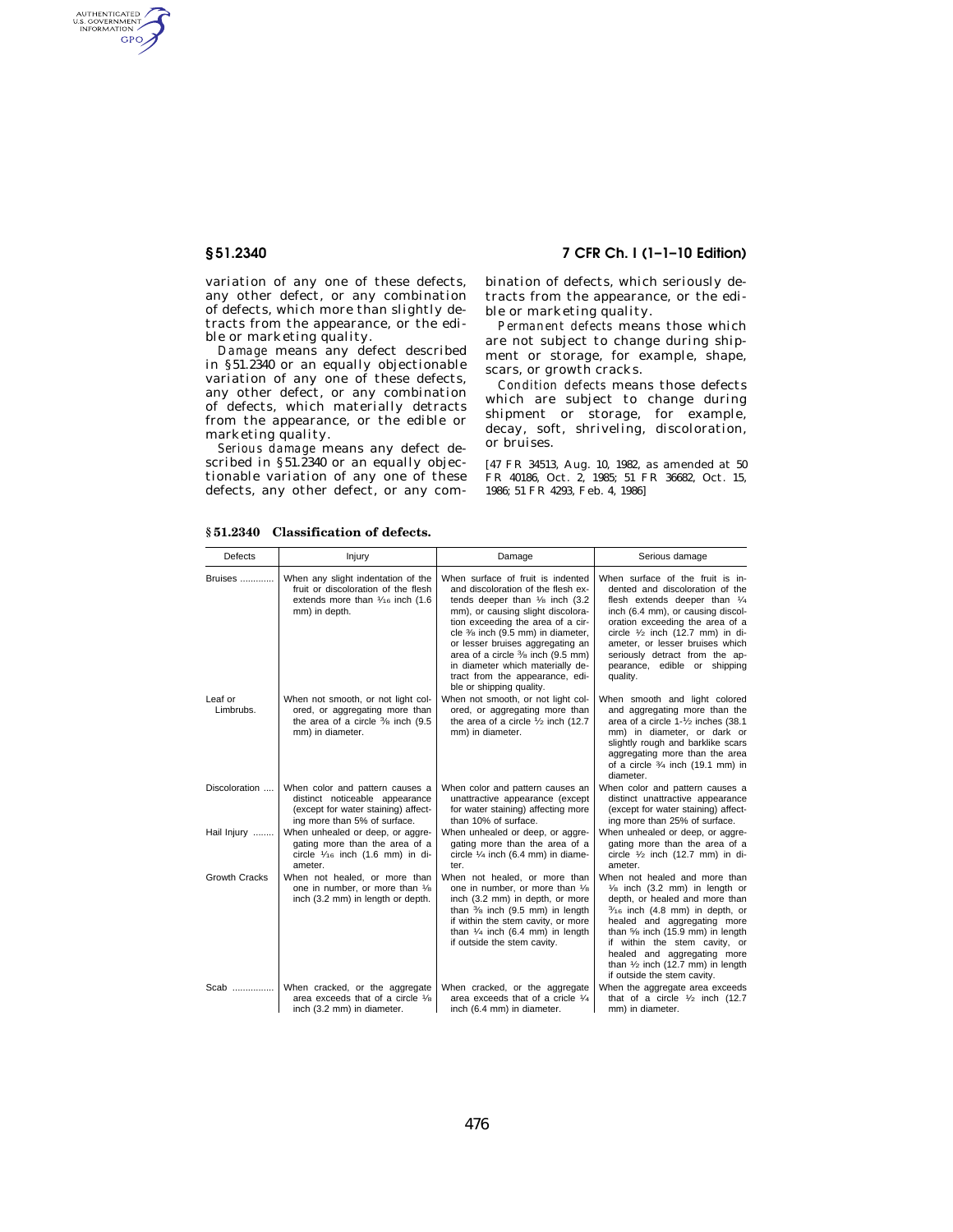AUTHENTICATED<br>U.S. GOVERNMENT<br>INFORMATION **GPO** 

> variation of any one of these defects, any other defect, or any combination of defects, which more than slightly detracts from the appearance, or the edible or marketing quality.

> *Damage* means any defect described in §51.2340 or an equally objectionable variation of any one of these defects, any other defect, or any combination of defects, which materially detracts from the appearance, or the edible or marketing quality.

> *Serious damage* means any defect described in §51.2340 or an equally objectionable variation of any one of these defects, any other defect, or any com-

**§ 51.2340 7 CFR Ch. I (1–1–10 Edition)** 

bination of defects, which seriously detracts from the appearance, or the edible or marketing quality.

*Permanent defects* means those which are not subject to change during shipment or storage, for example, shape, scars, or growth cracks.

*Condition defects* means those defects which are subject to change during shipment or storage, for example, decay, soft, shriveling, discoloration, or bruises.

[47 FR 34513, Aug. 10, 1982, as amended at 50 FR 40186, Oct. 2, 1985; 51 FR 36682, Oct. 15, 1986; 51 FR 4293, Feb. 4, 1986]

| Defects              | Injury                                                                                                                                   | Damage                                                                                                                                                                                                                                                                                                                                                                                                                                   | Serious damage                                                                                                                                                                                                                                                                                                                                           |
|----------------------|------------------------------------------------------------------------------------------------------------------------------------------|------------------------------------------------------------------------------------------------------------------------------------------------------------------------------------------------------------------------------------------------------------------------------------------------------------------------------------------------------------------------------------------------------------------------------------------|----------------------------------------------------------------------------------------------------------------------------------------------------------------------------------------------------------------------------------------------------------------------------------------------------------------------------------------------------------|
| <b>Bruises</b>       | When any slight indentation of the<br>fruit or discoloration of the flesh<br>extends more than 1/16 inch (1.6)<br>mm) in depth.          | When surface of fruit is indented<br>and discoloration of the flesh ex-<br>tends deeper than $\frac{1}{8}$ inch (3.2)<br>mm), or causing slight discolora-<br>tion exceeding the area of a cir-<br>cle % inch (9.5 mm) in diameter,<br>or lesser bruises aggregating an<br>area of a circle <sup>3</sup> / <sub>8</sub> inch (9.5 mm)<br>in diameter which materially de-<br>tract from the appearance, edi-<br>ble or shipping quality. | When surface of the fruit is in-<br>dented and discoloration of the<br>flesh extends deeper than 1/4<br>inch (6.4 mm), or causing discol-<br>oration exceeding the area of a<br>circle $1/2$ inch (12.7 mm) in di-<br>ameter, or lesser bruises which<br>seriously detract from the ap-<br>pearance, edible or shipping<br>quality.                      |
| Leaf or<br>Limbrubs. | When not smooth, or not light col-<br>ored, or aggregating more than<br>the area of a circle 3/8 inch (9.5<br>mm) in diameter.           | When not smooth, or not light col-<br>ored, or aggregating more than<br>the area of a circle 1/2 inch (12.7<br>mm) in diameter.                                                                                                                                                                                                                                                                                                          | When smooth and light colored<br>and aggregating more than the<br>area of a circle 1-1/2 inches (38.1<br>mm) in diameter, or dark or<br>slightly rough and barklike scars<br>aggregating more than the area<br>of a circle $\frac{3}{4}$ inch (19.1 mm) in<br>diameter.                                                                                  |
| Discoloration        | When color and pattern causes a<br>distinct noticeable appearance<br>(except for water staining) affect-<br>ing more than 5% of surface. | When color and pattern causes an<br>unattractive appearance (except<br>for water staining) affecting more<br>than 10% of surface.                                                                                                                                                                                                                                                                                                        | When color and pattern causes a<br>distinct unattractive appearance<br>(except for water staining) affect-<br>ing more than 25% of surface.                                                                                                                                                                                                              |
| Hail Injury          | When unhealed or deep, or aggre-<br>gating more than the area of a<br>circle $1/16$ inch $(1.6$ mm) in di-<br>ameter.                    | When unhealed or deep, or aggre-<br>gating more than the area of a<br>circle $1/4$ inch (6.4 mm) in diame-<br>ter.                                                                                                                                                                                                                                                                                                                       | When unhealed or deep, or aggre-<br>gating more than the area of a<br>circle $1/2$ inch (12.7 mm) in di-<br>ameter.                                                                                                                                                                                                                                      |
| <b>Growth Cracks</b> | When not healed, or more than<br>one in number, or more than 1/8<br>inch (3.2 mm) in length or depth.                                    | When not healed, or more than<br>one in number, or more than 1/8<br>inch (3.2 mm) in depth, or more<br>than $\frac{3}{8}$ inch (9.5 mm) in length<br>if within the stem cavity, or more<br>than $1/4$ inch (6.4 mm) in length<br>if outside the stem cavity.                                                                                                                                                                             | When not healed and more than<br>$\frac{1}{6}$ inch (3.2 mm) in length or<br>depth, or healed and more than<br>3/16 inch (4.8 mm) in depth, or<br>healed and aggregating more<br>than 5/8 inch (15.9 mm) in length<br>if within the stem cavity, or<br>healed and aggregating more<br>than $1/2$ inch (12.7 mm) in length<br>if outside the stem cavity. |
| Scab                 | When cracked, or the aggregate<br>area exceeds that of a circle 1/8<br>inch (3.2 mm) in diameter.                                        | When cracked, or the aggregate<br>area exceeds that of a cricle 1/4<br>inch (6.4 mm) in diameter.                                                                                                                                                                                                                                                                                                                                        | When the aggregate area exceeds<br>that of a circle $1/2$ inch (12.7)<br>mm) in diameter.                                                                                                                                                                                                                                                                |

**§ 51.2340 Classification of defects.**